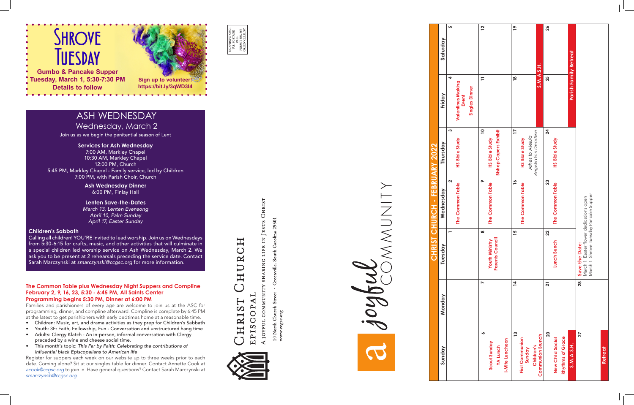| Sunday                  | Monday         | Tuesday                                                          | Wednesday                | Thursday                     | Friday                            | Saturday        |
|-------------------------|----------------|------------------------------------------------------------------|--------------------------|------------------------------|-----------------------------------|-----------------|
|                         |                |                                                                  | $\mathbf{\Omega}$        | Ω                            | 4                                 | ശ               |
|                         |                |                                                                  | The Common Table         | <b>HS Bible Study</b>        | <b>Valentines Making</b><br>Event |                 |
|                         |                |                                                                  |                          |                              | <b>Singles Dinner</b>             |                 |
| ∾                       | N              | $\infty$                                                         | $\sim$                   | $\overline{a}$               | $\overline{1}$                    | $\overline{12}$ |
| Scout Sunday            |                | <b>Youth Ministry<br/>Parents Council</b>                        | The Common Table         | <b>HS Bible Study</b>        |                                   |                 |
| <b>YA Lunch</b>         |                |                                                                  |                          | <b>Bishop Capers Exhibit</b> |                                   |                 |
| I-Mite Luncheon         |                |                                                                  |                          |                              |                                   |                 |
| $\overline{13}$         | $\overline{4}$ | 15                                                               | $\overline{\phantom{a}}$ | $\overline{17}$              | $\frac{8}{1}$                     | $\frac{6}{1}$   |
| <b>First Communion</b>  |                |                                                                  | The Common Table         | HS Bible Study               |                                   |                 |
| Sunday                  |                |                                                                  |                          | Ashes to Alleluia            |                                   |                 |
| Children's              |                |                                                                  |                          | Registration Deadline        | S.M.A.S.H.                        |                 |
| <b>Communion Brunch</b> |                |                                                                  |                          |                              |                                   |                 |
| 20                      | 21             | 22                                                               | 23                       | 24                           | 25                                | 26              |
| <b>New Child Social</b> |                | Lunch Bunch                                                      | The Common Table         | HS Bible Study               |                                   |                 |
| Rhythms of Grace        |                |                                                                  |                          |                              |                                   |                 |
| S.M.A.S.H.              |                |                                                                  |                          |                              | <b>Parish Family Retreat</b>      |                 |
| 27                      | $\frac{1}{28}$ | <b>Save the Date:</b><br>March 1: Easter flower dedications open |                          |                              |                                   |                 |
|                         |                | March 1: Shrove Tuesday Pancake Supper                           |                          |                              |                                   |                 |
|                         |                |                                                                  |                          |                              |                                   |                 |
| <b>Retreat</b>          |                |                                                                  |                          |                              |                                   |                 |
|                         |                |                                                                  |                          |                              |                                   |                 |







**Gumbo & Pancake Supper Tuesday, March 1, 5:30-7:30 PM Details to follow**

- at the latest to get parishioners with early bedtimes home at a reasonable time.<br>• Children: Music, art, and drama activities as they prep for Children's Sabbath
- Youth: 3F: Faith, Fellowship, Fun Conversation and unstructured hang time
- Adults: Clergy Klatch An in-person, informal conversation with Clergy preceded by a wine and cheese social time.
- This month's topic: *This Far by Faith: Celebrating the contributions of influential black Episcopalians to American life*

#### **The Common Table plus Wednesday Night Suppers and Compline February 2, 9, 16, 23, 5:30 - 6:45 PM, All Saints Center Programming begins 5:30 PM, Dinner at 6:00 PM**

Families and parishioners of every age are welcome to join us at the ASC for programming, dinner, and compline afterward. Compline is complete by 6:45 PM

Register for suppers each week on our website up to three weeks prior to each date. Coming alone? Sit at our singles table for dinner. Contact Annette Cook at *acook@ccgsc.org* to join in. Have general questions? Contact Sarah Marczynski at *smarczynski@ccgsc.org.*

# HURCH TSIAHN EPISCOPA



CHRIST LIFE IN JESUS **SHARING** A JOYFUL COMMUNITY

29601 Carolina  $\mathbf{u}$ ů ් North Church Street  $\Box$ 



### **Services for Ash Wednesday**

7:00 AM, Markley Chapel 10:30 AM, Markley Chapel 12:00 PM, Church 5:45 PM, Markley Chapel - Family service, led by Children 7:00 PM, with Parish Choir, Church

#### **Children's Sabbath**

Calling all children! YOU'RE invited to lead worship. Join us on Wednesdays from 5:30-6:15 for crafts, music, and other activities that will culminate in a special children led worship service on Ash Wednesday, March 2. We ask you to be present at 2 rehearsals preceding the service date. Contact Sarah Marczynski at *smarczynski@ccgsc.org* for more information.

# ASH WEDNESDAY Wednesday, March 2

Join us as we begin the penitential season of Lent

**Ash Wednesday Dinner** 6:00 PM, Finlay Hall

**Lenten Save-the-Dates** *March 13, Lenten Evensong April 10, Palm Sunday April 17, Easter Sunday*

**Sign up to volunteer! https://bit.ly/3qWD3l4**